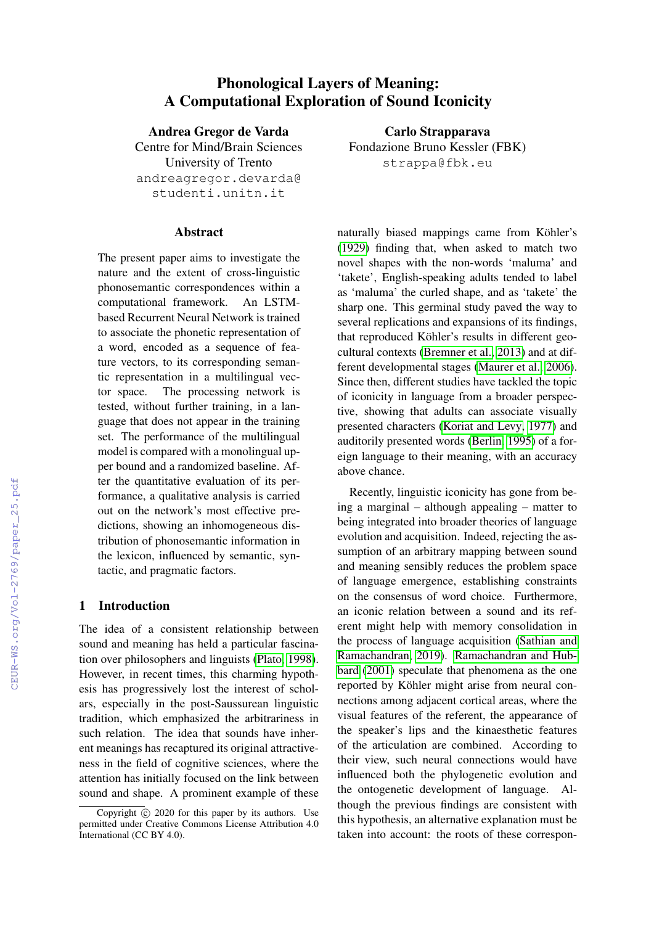# Phonological Layers of Meaning: A Computational Exploration of Sound Iconicity

Andrea Gregor de Varda

Centre for Mind/Brain Sciences University of Trento andreagregor.devarda@ studenti.unitn.it

#### **Abstract**

The present paper aims to investigate the nature and the extent of cross-linguistic phonosemantic correspondences within a computational framework. An LSTMbased Recurrent Neural Network is trained to associate the phonetic representation of a word, encoded as a sequence of feature vectors, to its corresponding semantic representation in a multilingual vector space. The processing network is tested, without further training, in a language that does not appear in the training set. The performance of the multilingual model is compared with a monolingual upper bound and a randomized baseline. After the quantitative evaluation of its performance, a qualitative analysis is carried out on the network's most effective predictions, showing an inhomogeneous distribution of phonosemantic information in the lexicon, influenced by semantic, syntactic, and pragmatic factors.

## 1 Introduction

The idea of a consistent relationship between sound and meaning has held a particular fascination over philosophers and linguists [\(Plato, 1998\)](#page--1-0). However, in recent times, this charming hypothesis has progressively lost the interest of scholars, especially in the post-Saussurean linguistic tradition, which emphasized the arbitrariness in such relation. The idea that sounds have inherent meanings has recaptured its original attractiveness in the field of cognitive sciences, where the attention has initially focused on the link between sound and shape. A prominent example of these

Carlo Strapparava Fondazione Bruno Kessler (FBK) strappa@fbk.eu

naturally biased mappings came from Köhler's [\(1929\)](#page--1-1) finding that, when asked to match two novel shapes with the non-words 'maluma' and 'takete', English-speaking adults tended to label as 'maluma' the curled shape, and as 'takete' the sharp one. This germinal study paved the way to several replications and expansions of its findings, that reproduced Köhler's results in different geocultural contexts [\(Bremner et al., 2013\)](#page--1-2) and at different developmental stages [\(Maurer et al., 2006\)](#page--1-3). Since then, different studies have tackled the topic of iconicity in language from a broader perspective, showing that adults can associate visually presented characters [\(Koriat and Levy, 1977\)](#page--1-4) and auditorily presented words [\(Berlin, 1995\)](#page--1-5) of a foreign language to their meaning, with an accuracy above chance.

Recently, linguistic iconicity has gone from being a marginal – although appealing – matter to being integrated into broader theories of language evolution and acquisition. Indeed, rejecting the assumption of an arbitrary mapping between sound and meaning sensibly reduces the problem space of language emergence, establishing constraints on the consensus of word choice. Furthermore, an iconic relation between a sound and its referent might help with memory consolidation in the process of language acquisition [\(Sathian and](#page--1-6) [Ramachandran, 2019\)](#page--1-6). [Ramachandran and Hub](#page--1-7)[bard](#page--1-7) [\(2001\)](#page--1-7) speculate that phenomena as the one reported by Köhler might arise from neural connections among adjacent cortical areas, where the visual features of the referent, the appearance of the speaker's lips and the kinaesthetic features of the articulation are combined. According to their view, such neural connections would have influenced both the phylogenetic evolution and the ontogenetic development of language. Although the previous findings are consistent with this hypothesis, an alternative explanation must be taken into account: the roots of these correspon-

Copyright  $\overline{c}$  2020 for this paper by its authors. Use permitted under Creative Commons License Attribution 4.0 International (CC BY 4.0).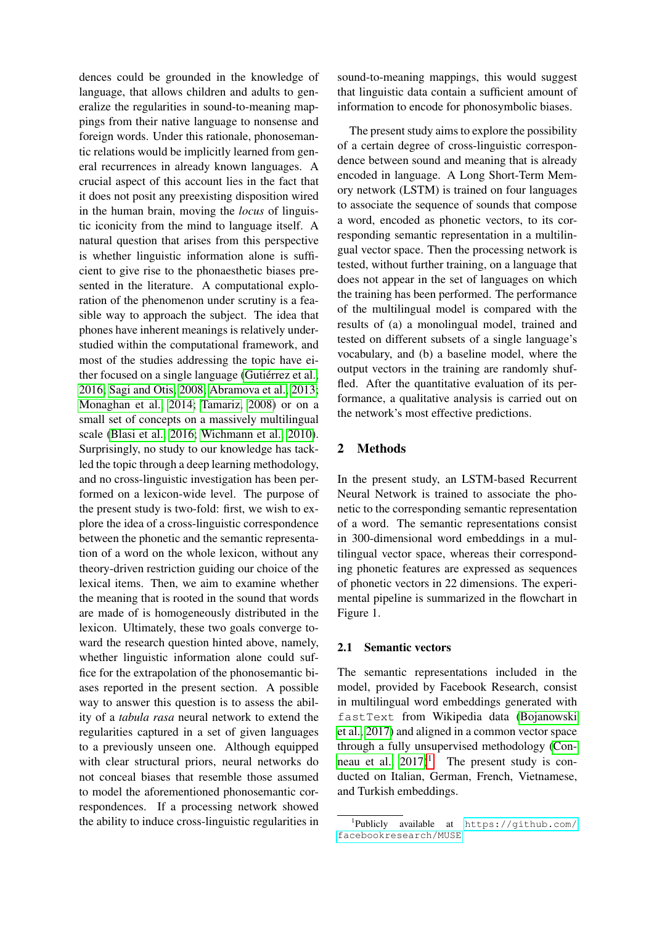dences could be grounded in the knowledge of language, that allows children and adults to generalize the regularities in sound-to-meaning mappings from their native language to nonsense and foreign words. Under this rationale, phonosemantic relations would be implicitly learned from general recurrences in already known languages. A crucial aspect of this account lies in the fact that it does not posit any preexisting disposition wired in the human brain, moving the *locus* of linguistic iconicity from the mind to language itself. A natural question that arises from this perspective is whether linguistic information alone is sufficient to give rise to the phonaesthetic biases presented in the literature. A computational exploration of the phenomenon under scrutiny is a feasible way to approach the subject. The idea that phones have inherent meanings is relatively understudied within the computational framework, and most of the studies addressing the topic have either focused on a single language (Gutiérrez et al., [2016;](#page-5-0) [Sagi and Otis, 2008;](#page-6-0) [Abramova et al., 2013;](#page-5-1) [Monaghan et al., 2014;](#page-6-1) [Tamariz, 2008\)](#page-6-2) or on a small set of concepts on a massively multilingual scale [\(Blasi et al., 2016;](#page-5-2) [Wichmann et al., 2010\)](#page-6-3). Surprisingly, no study to our knowledge has tackled the topic through a deep learning methodology, and no cross-linguistic investigation has been performed on a lexicon-wide level. The purpose of the present study is two-fold: first, we wish to explore the idea of a cross-linguistic correspondence between the phonetic and the semantic representation of a word on the whole lexicon, without any theory-driven restriction guiding our choice of the lexical items. Then, we aim to examine whether the meaning that is rooted in the sound that words are made of is homogeneously distributed in the lexicon. Ultimately, these two goals converge toward the research question hinted above, namely, whether linguistic information alone could suffice for the extrapolation of the phonosemantic biases reported in the present section. A possible way to answer this question is to assess the ability of a *tabula rasa* neural network to extend the regularities captured in a set of given languages to a previously unseen one. Although equipped with clear structural priors, neural networks do not conceal biases that resemble those assumed to model the aforementioned phonosemantic correspondences. If a processing network showed the ability to induce cross-linguistic regularities in sound-to-meaning mappings, this would suggest that linguistic data contain a sufficient amount of information to encode for phonosymbolic biases.

The present study aims to explore the possibility of a certain degree of cross-linguistic correspondence between sound and meaning that is already encoded in language. A Long Short-Term Memory network (LSTM) is trained on four languages to associate the sequence of sounds that compose a word, encoded as phonetic vectors, to its corresponding semantic representation in a multilingual vector space. Then the processing network is tested, without further training, on a language that does not appear in the set of languages on which the training has been performed. The performance of the multilingual model is compared with the results of (a) a monolingual model, trained and tested on different subsets of a single language's vocabulary, and (b) a baseline model, where the output vectors in the training are randomly shuffled. After the quantitative evaluation of its performance, a qualitative analysis is carried out on the network's most effective predictions.

### 2 Methods

In the present study, an LSTM-based Recurrent Neural Network is trained to associate the phonetic to the corresponding semantic representation of a word. The semantic representations consist in 300-dimensional word embeddings in a multilingual vector space, whereas their corresponding phonetic features are expressed as sequences of phonetic vectors in 22 dimensions. The experimental pipeline is summarized in the flowchart in Figure 1.

#### 2.1 Semantic vectors

The semantic representations included in the model, provided by Facebook Research, consist in multilingual word embeddings generated with fastText from Wikipedia data [\(Bojanowski](#page-5-3) [et al., 2017\)](#page-5-3) and aligned in a common vector space through a fully unsupervised methodology [\(Con](#page-5-4)neau et al.,  $2017$  $2017$  $2017$ <sup>1</sup>. The present study is conducted on Italian, German, French, Vietnamese, and Turkish embeddings.

<span id="page-1-0"></span><sup>1</sup> Publicly available at [https://github.com/](https://github.com/facebookresearch/MUSE) [facebookresearch/MUSE](https://github.com/facebookresearch/MUSE)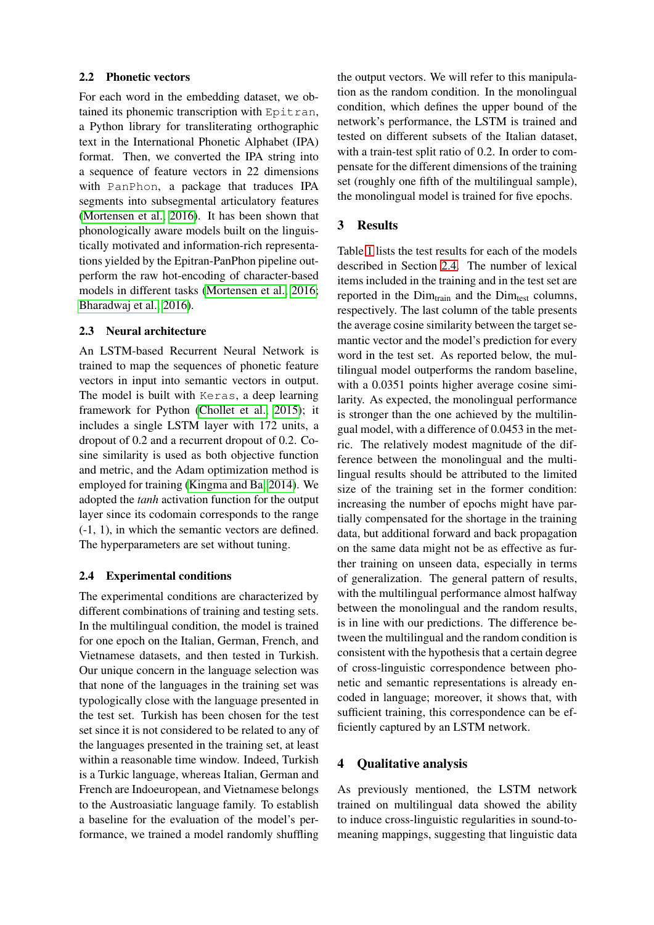### 2.2 Phonetic vectors

For each word in the embedding dataset, we obtained its phonemic transcription with Epitran, a Python library for transliterating orthographic text in the International Phonetic Alphabet (IPA) format. Then, we converted the IPA string into a sequence of feature vectors in 22 dimensions with PanPhon, a package that traduces IPA segments into subsegmental articulatory features [\(Mortensen et al., 2016\)](#page-6-4). It has been shown that phonologically aware models built on the linguistically motivated and information-rich representations yielded by the Epitran-PanPhon pipeline outperform the raw hot-encoding of character-based models in different tasks [\(Mortensen et al., 2016;](#page-6-4) [Bharadwaj et al., 2016\)](#page-5-5).

## 2.3 Neural architecture

An LSTM-based Recurrent Neural Network is trained to map the sequences of phonetic feature vectors in input into semantic vectors in output. The model is built with Keras, a deep learning framework for Python [\(Chollet et al., 2015\)](#page-5-6); it includes a single LSTM layer with 172 units, a dropout of 0.2 and a recurrent dropout of 0.2. Cosine similarity is used as both objective function and metric, and the Adam optimization method is employed for training [\(Kingma and Ba, 2014\)](#page-5-7). We adopted the *tanh* activation function for the output layer since its codomain corresponds to the range (-1, 1), in which the semantic vectors are defined. The hyperparameters are set without tuning.

# <span id="page-2-0"></span>2.4 Experimental conditions

The experimental conditions are characterized by different combinations of training and testing sets. In the multilingual condition, the model is trained for one epoch on the Italian, German, French, and Vietnamese datasets, and then tested in Turkish. Our unique concern in the language selection was that none of the languages in the training set was typologically close with the language presented in the test set. Turkish has been chosen for the test set since it is not considered to be related to any of the languages presented in the training set, at least within a reasonable time window. Indeed, Turkish is a Turkic language, whereas Italian, German and French are Indoeuropean, and Vietnamese belongs to the Austroasiatic language family. To establish a baseline for the evaluation of the model's performance, we trained a model randomly shuffling the output vectors. We will refer to this manipulation as the random condition. In the monolingual condition, which defines the upper bound of the network's performance, the LSTM is trained and tested on different subsets of the Italian dataset, with a train-test split ratio of 0.2. In order to compensate for the different dimensions of the training set (roughly one fifth of the multilingual sample), the monolingual model is trained for five epochs.

# 3 Results

Table [1](#page-3-0) lists the test results for each of the models described in Section [2.4.](#page-2-0) The number of lexical items included in the training and in the test set are reported in the  $Dim<sub>train</sub>$  and the  $Dim<sub>test</sub>$  columns, respectively. The last column of the table presents the average cosine similarity between the target semantic vector and the model's prediction for every word in the test set. As reported below, the multilingual model outperforms the random baseline, with a  $0.0351$  points higher average cosine similarity. As expected, the monolingual performance is stronger than the one achieved by the multilingual model, with a difference of 0.0453 in the metric. The relatively modest magnitude of the difference between the monolingual and the multilingual results should be attributed to the limited size of the training set in the former condition: increasing the number of epochs might have partially compensated for the shortage in the training data, but additional forward and back propagation on the same data might not be as effective as further training on unseen data, especially in terms of generalization. The general pattern of results, with the multilingual performance almost halfway between the monolingual and the random results, is in line with our predictions. The difference between the multilingual and the random condition is consistent with the hypothesis that a certain degree of cross-linguistic correspondence between phonetic and semantic representations is already encoded in language; moreover, it shows that, with sufficient training, this correspondence can be efficiently captured by an LSTM network.

# 4 Qualitative analysis

As previously mentioned, the LSTM network trained on multilingual data showed the ability to induce cross-linguistic regularities in sound-tomeaning mappings, suggesting that linguistic data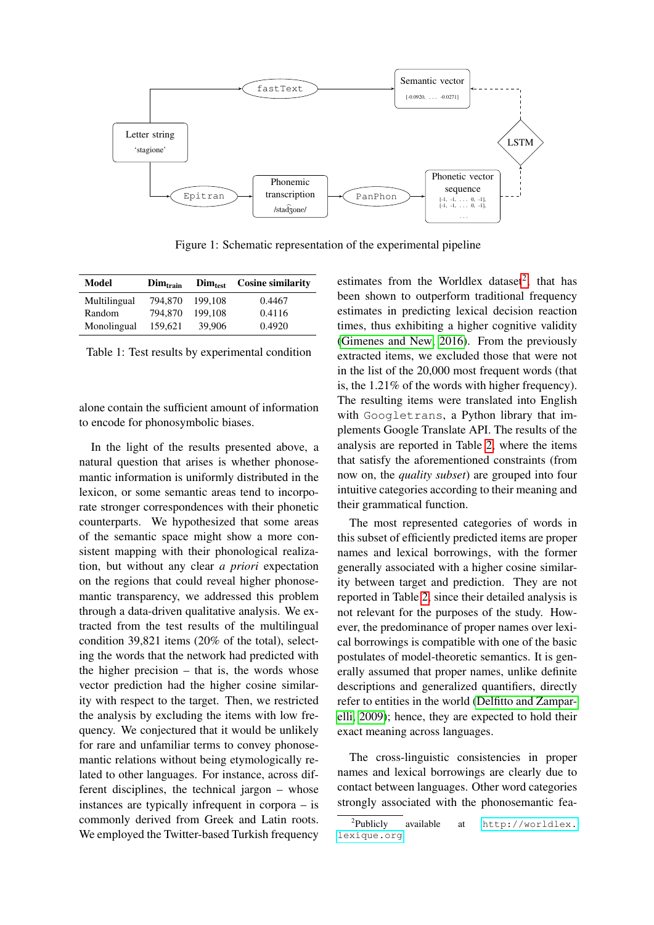

Figure 1: Schematic representation of the experimental pipeline

| Model        | Dim <sub>train</sub> | Dim <sub>test</sub> | <b>Cosine similarity</b> |
|--------------|----------------------|---------------------|--------------------------|
| Multilingual | 794,870              | 199.108             | 0.4467                   |
| Random       | 794.870              | 199.108             | 0.4116                   |
| Monolingual  | 159,621              | 39,906              | 0.4920                   |

<span id="page-3-0"></span>Table 1: Test results by experimental condition

alone contain the sufficient amount of information to encode for phonosymbolic biases.

In the light of the results presented above, a natural question that arises is whether phonosemantic information is uniformly distributed in the lexicon, or some semantic areas tend to incorporate stronger correspondences with their phonetic counterparts. We hypothesized that some areas of the semantic space might show a more consistent mapping with their phonological realization, but without any clear *a priori* expectation on the regions that could reveal higher phonosemantic transparency, we addressed this problem through a data-driven qualitative analysis. We extracted from the test results of the multilingual condition 39,821 items (20% of the total), selecting the words that the network had predicted with the higher precision – that is, the words whose vector prediction had the higher cosine similarity with respect to the target. Then, we restricted the analysis by excluding the items with low frequency. We conjectured that it would be unlikely for rare and unfamiliar terms to convey phonosemantic relations without being etymologically related to other languages. For instance, across different disciplines, the technical jargon – whose instances are typically infrequent in corpora – is commonly derived from Greek and Latin roots. We employed the Twitter-based Turkish frequency

estimates from the Worldlex dataset<sup>[2](#page-3-1)</sup>, that has been shown to outperform traditional frequency estimates in predicting lexical decision reaction times, thus exhibiting a higher cognitive validity [\(Gimenes and New, 2016\)](#page-5-8). From the previously extracted items, we excluded those that were not in the list of the 20,000 most frequent words (that is, the 1.21% of the words with higher frequency). The resulting items were translated into English with Googletrans, a Python library that implements Google Translate API. The results of the analysis are reported in Table [2,](#page-4-0) where the items that satisfy the aforementioned constraints (from now on, the *quality subset*) are grouped into four intuitive categories according to their meaning and their grammatical function.

The most represented categories of words in this subset of efficiently predicted items are proper names and lexical borrowings, with the former generally associated with a higher cosine similarity between target and prediction. They are not reported in Table [2,](#page-4-0) since their detailed analysis is not relevant for the purposes of the study. However, the predominance of proper names over lexical borrowings is compatible with one of the basic postulates of model-theoretic semantics. It is generally assumed that proper names, unlike definite descriptions and generalized quantifiers, directly refer to entities in the world [\(Delfitto and Zampar](#page-5-9)[elli, 2009\)](#page-5-9); hence, they are expected to hold their exact meaning across languages.

The cross-linguistic consistencies in proper names and lexical borrowings are clearly due to contact between languages. Other word categories strongly associated with the phonosemantic fea-

<span id="page-3-1"></span> ${}^{2}$ Publicly available at [http://worldlex.](http://worldlex.lexique.org) [lexique.org](http://worldlex.lexique.org)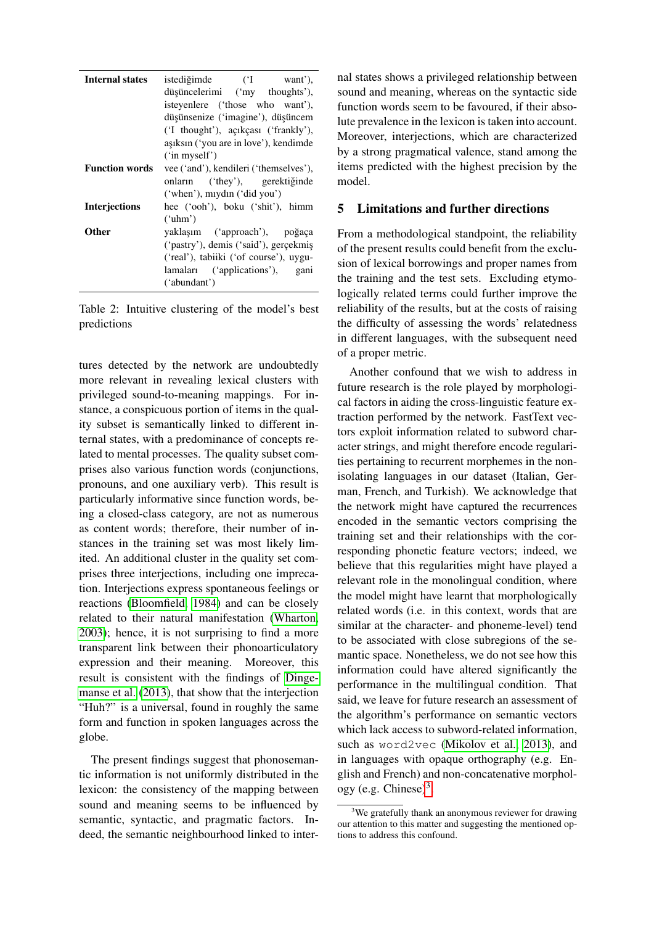| <b>Internal states</b> | istediğimde ('I want'),<br>düşüncelerimi ('my thoughts'),<br>isteyenlere ('those who want'),<br>düşünsenize ('imagine'), düşüncem<br>('I thought'), acikcasi ('frankly'), |  |  |
|------------------------|---------------------------------------------------------------------------------------------------------------------------------------------------------------------------|--|--|
|                        | aşıksın ('you are in love'), kendimde<br>('in myself')                                                                                                                    |  |  |
| <b>Function words</b>  | vee ('and'), kendileri ('themselves'),<br>onların ('they'), gerektiğinde<br>('when'), mydn ('did you')                                                                    |  |  |
| <b>Interjections</b>   | hee ('ooh'), boku ('shit'), himm<br>('uhm')                                                                                                                               |  |  |
| Other                  | yaklaşım ('approach'), poğaça<br>('pastry'), demis ('said'), gerçekmiş<br>('real'), tabiiki ('of course'), uygu-<br>lamaları ('applications'), gani<br>('abundant')       |  |  |

<span id="page-4-0"></span>Table 2: Intuitive clustering of the model's best predictions

tures detected by the network are undoubtedly more relevant in revealing lexical clusters with privileged sound-to-meaning mappings. For instance, a conspicuous portion of items in the quality subset is semantically linked to different internal states, with a predominance of concepts related to mental processes. The quality subset comprises also various function words (conjunctions, pronouns, and one auxiliary verb). This result is particularly informative since function words, being a closed-class category, are not as numerous as content words; therefore, their number of instances in the training set was most likely limited. An additional cluster in the quality set comprises three interjections, including one imprecation. Interjections express spontaneous feelings or reactions [\(Bloomfield, 1984\)](#page-5-10) and can be closely related to their natural manifestation [\(Wharton,](#page-6-5) [2003\)](#page-6-5); hence, it is not surprising to find a more transparent link between their phonoarticulatory expression and their meaning. Moreover, this result is consistent with the findings of [Dinge](#page-5-11)[manse et al.](#page-5-11) [\(2013\)](#page-5-11), that show that the interjection "Huh?" is a universal, found in roughly the same form and function in spoken languages across the globe.

The present findings suggest that phonosemantic information is not uniformly distributed in the lexicon: the consistency of the mapping between sound and meaning seems to be influenced by semantic, syntactic, and pragmatic factors. Indeed, the semantic neighbourhood linked to internal states shows a privileged relationship between sound and meaning, whereas on the syntactic side function words seem to be favoured, if their absolute prevalence in the lexicon is taken into account. Moreover, interjections, which are characterized by a strong pragmatical valence, stand among the items predicted with the highest precision by the model.

## 5 Limitations and further directions

From a methodological standpoint, the reliability of the present results could benefit from the exclusion of lexical borrowings and proper names from the training and the test sets. Excluding etymologically related terms could further improve the reliability of the results, but at the costs of raising the difficulty of assessing the words' relatedness in different languages, with the subsequent need of a proper metric.

Another confound that we wish to address in future research is the role played by morphological factors in aiding the cross-linguistic feature extraction performed by the network. FastText vectors exploit information related to subword character strings, and might therefore encode regularities pertaining to recurrent morphemes in the nonisolating languages in our dataset (Italian, German, French, and Turkish). We acknowledge that the network might have captured the recurrences encoded in the semantic vectors comprising the training set and their relationships with the corresponding phonetic feature vectors; indeed, we believe that this regularities might have played a relevant role in the monolingual condition, where the model might have learnt that morphologically related words (i.e. in this context, words that are similar at the character- and phoneme-level) tend to be associated with close subregions of the semantic space. Nonetheless, we do not see how this information could have altered significantly the performance in the multilingual condition. That said, we leave for future research an assessment of the algorithm's performance on semantic vectors which lack access to subword-related information, such as word2vec [\(Mikolov et al., 2013\)](#page-6-6), and in languages with opaque orthography (e.g. English and French) and non-concatenative morphol-ogy (e.g. Chinese)<sup>[3](#page-4-1)</sup>.

<span id="page-4-1"></span> $3$ We gratefully thank an anonymous reviewer for drawing our attention to this matter and suggesting the mentioned options to address this confound.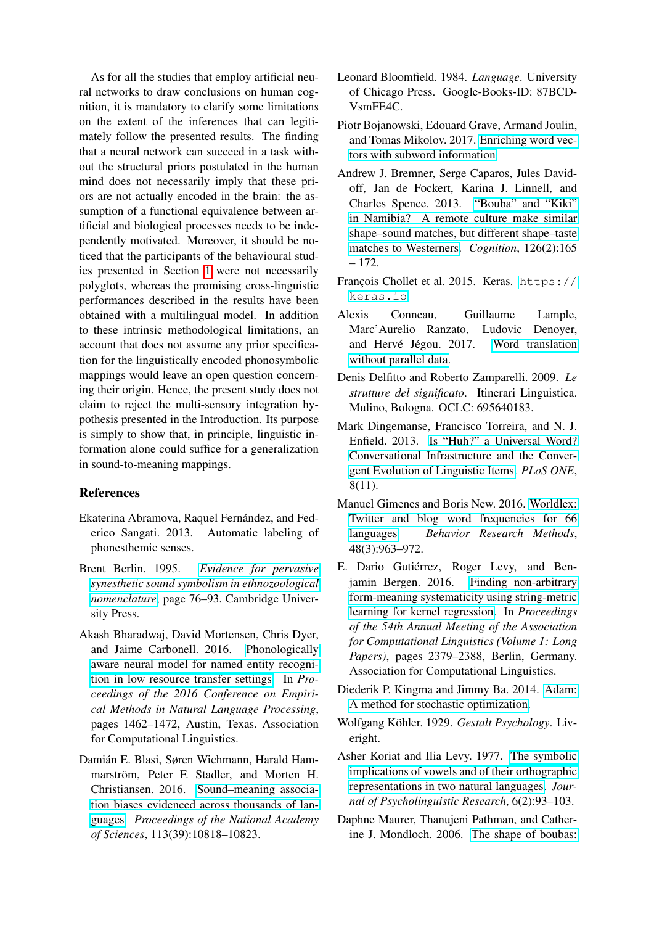As for all the studies that employ artificial neural networks to draw conclusions on human cognition, it is mandatory to clarify some limitations on the extent of the inferences that can legitimately follow the presented results. The finding that a neural network can succeed in a task without the structural priors postulated in the human mind does not necessarily imply that these priors are not actually encoded in the brain: the assumption of a functional equivalence between artificial and biological processes needs to be independently motivated. Moreover, it should be noticed that the participants of the behavioural studies presented in Section [1](#page--1-8) were not necessarily polyglots, whereas the promising cross-linguistic performances described in the results have been obtained with a multilingual model. In addition to these intrinsic methodological limitations, an account that does not assume any prior specification for the linguistically encoded phonosymbolic mappings would leave an open question concerning their origin. Hence, the present study does not claim to reject the multi-sensory integration hypothesis presented in the Introduction. Its purpose is simply to show that, in principle, linguistic information alone could suffice for a generalization in sound-to-meaning mappings.

# References

- <span id="page-5-1"></span>Ekaterina Abramova, Raquel Fernández, and Federico Sangati. 2013. Automatic labeling of phonesthemic senses.
- Brent Berlin. 1995. *[Evidence for pervasive](https://doi.org/10.1017/CBO9780511751806.006) [synesthetic sound symbolism in ethnozoological](https://doi.org/10.1017/CBO9780511751806.006) [nomenclature](https://doi.org/10.1017/CBO9780511751806.006)*, page 76–93. Cambridge University Press.
- <span id="page-5-5"></span>Akash Bharadwaj, David Mortensen, Chris Dyer, and Jaime Carbonell. 2016. [Phonologically](https://doi.org/10.18653/v1/D16-1153) [aware neural model for named entity recogni](https://doi.org/10.18653/v1/D16-1153)[tion in low resource transfer settings.](https://doi.org/10.18653/v1/D16-1153) In *Proceedings of the 2016 Conference on Empirical Methods in Natural Language Processing*, pages 1462–1472, Austin, Texas. Association for Computational Linguistics.
- <span id="page-5-2"></span>Damián E. Blasi, Søren Wichmann, Harald Hammarström, Peter F. Stadler, and Morten H. Christiansen. 2016. [Sound–meaning associa](https://doi.org/10.1073/pnas.1605782113)[tion biases evidenced across thousands of lan](https://doi.org/10.1073/pnas.1605782113)[guages.](https://doi.org/10.1073/pnas.1605782113) *Proceedings of the National Academy of Sciences*, 113(39):10818–10823.
- <span id="page-5-10"></span>Leonard Bloomfield. 1984. *Language*. University of Chicago Press. Google-Books-ID: 87BCD-VsmFE4C.
- <span id="page-5-3"></span>Piotr Bojanowski, Edouard Grave, Armand Joulin, and Tomas Mikolov. 2017. [Enriching word vec](http://arxiv.org/abs/1607.04606)[tors with subword information.](http://arxiv.org/abs/1607.04606)
- Andrew J. Bremner, Serge Caparos, Jules Davidoff, Jan de Fockert, Karina J. Linnell, and Charles Spence. 2013. ["Bouba" and "Kiki"](https://doi.org/https://doi.org/10.1016/j.cognition.2012.09.007) [in Namibia? A remote culture make similar](https://doi.org/https://doi.org/10.1016/j.cognition.2012.09.007) [shape–sound matches, but different shape–taste](https://doi.org/https://doi.org/10.1016/j.cognition.2012.09.007) [matches to Westerners.](https://doi.org/https://doi.org/10.1016/j.cognition.2012.09.007) *Cognition*, 126(2):165 – 172.
- <span id="page-5-6"></span>François Chollet et al. 2015. Keras. [https://](https://keras.io) [keras.io](https://keras.io).
- <span id="page-5-4"></span>Alexis Conneau, Guillaume Lample, Marc'Aurelio Ranzato, Ludovic Denoyer, and Hervé Jégou. 2017. [Word translation](http://arxiv.org/abs/1710.04087) [without parallel data.](http://arxiv.org/abs/1710.04087)
- <span id="page-5-9"></span>Denis Delfitto and Roberto Zamparelli. 2009. *Le strutture del significato*. Itinerari Linguistica. Mulino, Bologna. OCLC: 695640183.
- <span id="page-5-11"></span>Mark Dingemanse, Francisco Torreira, and N. J. Enfield. 2013. [Is "Huh?" a Universal Word?](https://doi.org/10.1371/journal.pone.0078273) [Conversational Infrastructure and the Conver](https://doi.org/10.1371/journal.pone.0078273)[gent Evolution of Linguistic Items.](https://doi.org/10.1371/journal.pone.0078273) *PLoS ONE*, 8(11).
- <span id="page-5-8"></span>Manuel Gimenes and Boris New. 2016. [Worldlex:](https://doi.org/10.3758/s13428-015-0621-0) [Twitter and blog word frequencies for 66](https://doi.org/10.3758/s13428-015-0621-0) [languages.](https://doi.org/10.3758/s13428-015-0621-0) *Behavior Research Methods*, 48(3):963–972.
- <span id="page-5-0"></span>E. Dario Gutiérrez, Roger Levy, and Benjamin Bergen. 2016. [Finding non-arbitrary](https://doi.org/10.18653/v1/P16-1225) [form-meaning systematicity using string-metric](https://doi.org/10.18653/v1/P16-1225) [learning for kernel regression.](https://doi.org/10.18653/v1/P16-1225) In *Proceedings of the 54th Annual Meeting of the Association for Computational Linguistics (Volume 1: Long Papers)*, pages 2379–2388, Berlin, Germany. Association for Computational Linguistics.
- <span id="page-5-7"></span>Diederik P. Kingma and Jimmy Ba. 2014. [Adam:](http://arxiv.org/abs/1412.6980) [A method for stochastic optimization.](http://arxiv.org/abs/1412.6980)
- Wolfgang Köhler. 1929. Gestalt Psychology. Liveright.
- Asher Koriat and Ilia Levy. 1977. [The symbolic](https://doi.org/10.1007/bf01074374) [implications of vowels and of their orthographic](https://doi.org/10.1007/bf01074374) [representations in two natural languages.](https://doi.org/10.1007/bf01074374) *Journal of Psycholinguistic Research*, 6(2):93–103.
- Daphne Maurer, Thanujeni Pathman, and Catherine J. Mondloch. 2006. [The shape of boubas:](https://doi.org/10.1111/j.1467-7687.2006.00495.x)